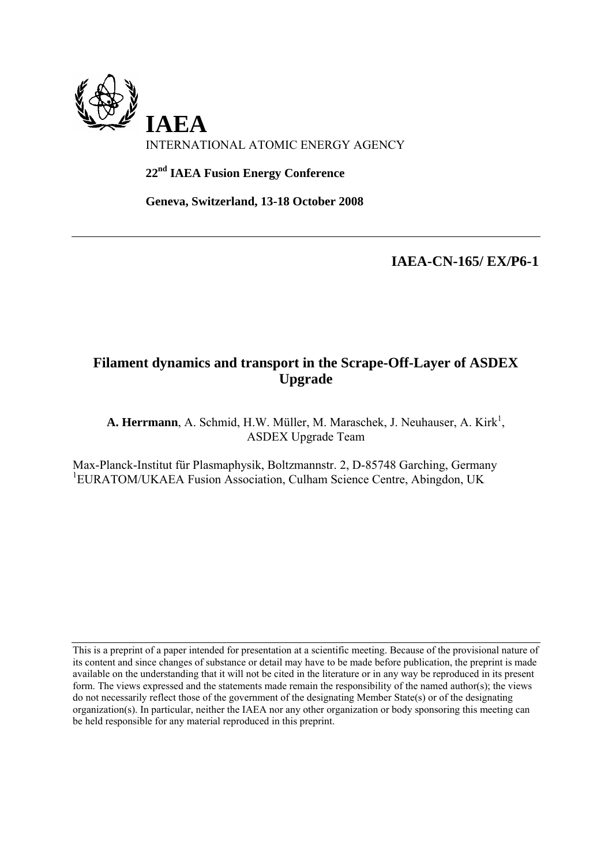

**22nd IAEA Fusion Energy Conference** 

**Geneva, Switzerland, 13-18 October 2008** 

**IAEA-CN-165/ EX/P6-1**

# **Filament dynamics and transport in the Scrape-Off-Layer of ASDEX Upgrade**

A. Herrmann, A. Schmid, H.W. Müller, M. Maraschek, J. Neuhauser, A. Kirk<sup>1</sup>, ASDEX Upgrade Team

Max-Planck-Institut für Plasmaphysik, Boltzmannstr. 2, D-85748 Garching, Germany <sup>1</sup>EURATOM/UKAEA Fusion Association, Culham Science Centre, Abingdon, UK

This is a preprint of a paper intended for presentation at a scientific meeting. Because of the provisional nature of its content and since changes of substance or detail may have to be made before publication, the preprint is made available on the understanding that it will not be cited in the literature or in any way be reproduced in its present form. The views expressed and the statements made remain the responsibility of the named author(s); the views do not necessarily reflect those of the government of the designating Member State(s) or of the designating organization(s). In particular, neither the IAEA nor any other organization or body sponsoring this meeting can be held responsible for any material reproduced in this preprint.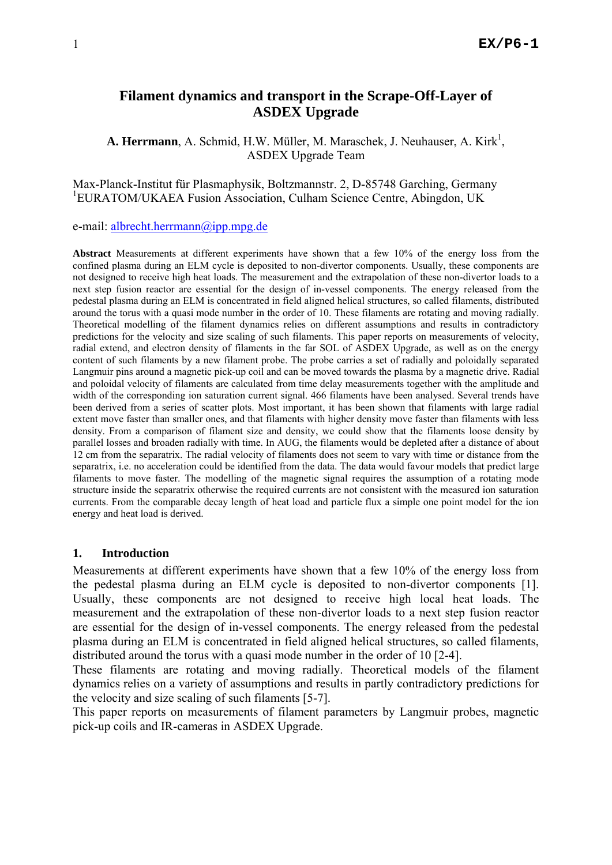# **Filament dynamics and transport in the Scrape-Off-Layer of ASDEX Upgrade**

A. Herrmann, A. Schmid, H.W. Müller, M. Maraschek, J. Neuhauser, A. Kirk<sup>1</sup>, ASDEX Upgrade Team

Max-Planck-Institut für Plasmaphysik, Boltzmannstr. 2, D-85748 Garching, Germany <sup>1</sup>EURATOM/UKAEA Fusion Association, Culham Science Centre, Abingdon, UK

e-mail: [albrecht.herrmann@ipp.mpg.de](mailto:albrecht.herrmann@ipp.mpg.de) 

**Abstract** Measurements at different experiments have shown that a few 10% of the energy loss from the confined plasma during an ELM cycle is deposited to non-divertor components. Usually, these components are not designed to receive high heat loads. The measurement and the extrapolation of these non-divertor loads to a next step fusion reactor are essential for the design of in-vessel components. The energy released from the pedestal plasma during an ELM is concentrated in field aligned helical structures, so called filaments, distributed around the torus with a quasi mode number in the order of 10. These filaments are rotating and moving radially. Theoretical modelling of the filament dynamics relies on different assumptions and results in contradictory predictions for the velocity and size scaling of such filaments. This paper reports on measurements of velocity, radial extend, and electron density of filaments in the far SOL of ASDEX Upgrade, as well as on the energy content of such filaments by a new filament probe. The probe carries a set of radially and poloidally separated Langmuir pins around a magnetic pick-up coil and can be moved towards the plasma by a magnetic drive. Radial and poloidal velocity of filaments are calculated from time delay measurements together with the amplitude and width of the corresponding ion saturation current signal. 466 filaments have been analysed. Several trends have been derived from a series of scatter plots. Most important, it has been shown that filaments with large radial extent move faster than smaller ones, and that filaments with higher density move faster than filaments with less density. From a comparison of filament size and density, we could show that the filaments loose density by parallel losses and broaden radially with time. In AUG, the filaments would be depleted after a distance of about 12 cm from the separatrix. The radial velocity of filaments does not seem to vary with time or distance from the separatrix, i.e. no acceleration could be identified from the data. The data would favour models that predict large filaments to move faster. The modelling of the magnetic signal requires the assumption of a rotating mode structure inside the separatrix otherwise the required currents are not consistent with the measured ion saturation currents. From the comparable decay length of heat load and particle flux a simple one point model for the ion energy and heat load is derived.

#### **1. Introduction**

Measurements at different experiments have shown that a few 10% of the energy loss from the pedestal plasma during an ELM cycle is deposited to non-divertor components [1]. Usually, these components are not designed to receive high local heat loads. The measurement and the extrapolation of these non-divertor loads to a next step fusion reactor are essential for the design of in-vessel components. The energy released from the pedestal plasma during an ELM is concentrated in field aligned helical structures, so called filaments, distributed around the torus with a quasi mode number in the order of 10 [2-4].

These filaments are rotating and moving radially. Theoretical models of the filament dynamics relies on a variety of assumptions and results in partly contradictory predictions for the velocity and size scaling of such filaments [5-7].

This paper reports on measurements of filament parameters by Langmuir probes, magnetic pick-up coils and IR-cameras in ASDEX Upgrade.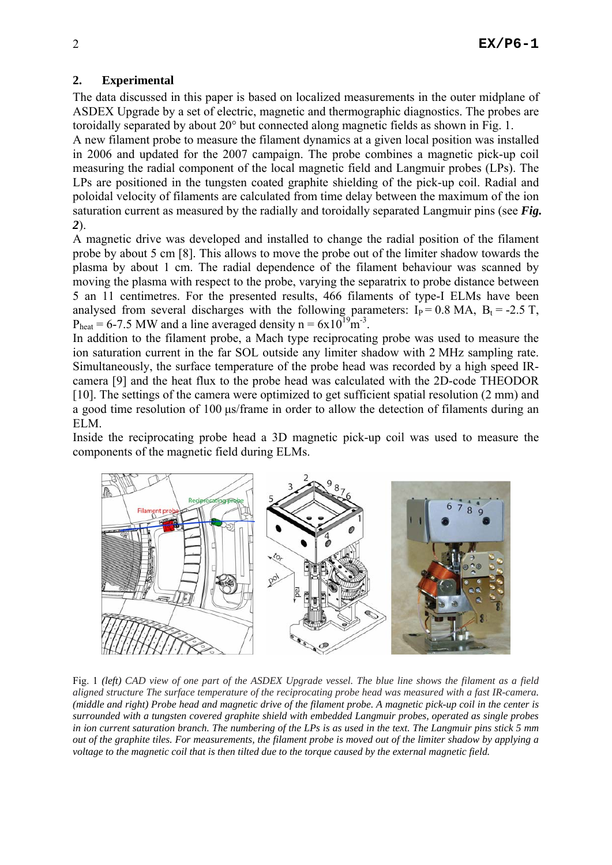## **2. Experimental**

The data discussed in this paper is based on localized measurements in the outer midplane of ASDEX Upgrade by a set of electric, magnetic and thermographic diagnostics. The probes are toroidally separated by about 20° but connected along magnetic fields as shown in [Fig. 1](#page-3-0).

A new filament probe to measure the filament dynamics at a given local position was installed in 2006 and updated for the 2007 campaign. The probe combines a magnetic pick-up coil measuring the radial component of the local magnetic field and Langmuir probes (LPs). The LPs are positioned in the tungsten coated graphite shielding of the pick-up coil. Radial and poloidal velocity of filaments are calculated from time delay between the maximum of the ion saturation current as measured by the radially and toroidally separated Langmuir pins (see *[Fig.](#page-4-0)  [2](#page-4-0)*).

A magnetic drive was developed and installed to change the radial position of the filament probe by about 5 cm [8]. This allows to move the probe out of the limiter shadow towards the plasma by about 1 cm. The radial dependence of the filament behaviour was scanned by moving the plasma with respect to the probe, varying the separatrix to probe distance between 5 an 11 centimetres. For the presented results, 466 filaments of type-I ELMs have been analysed from several discharges with the following parameters:  $I_P = 0.8$  MA,  $B_t = -2.5$  T,  $P_{\text{heat}} = 6-7.5$  MW and a line averaged density n =  $6x10^{19}$ m<sup>-3</sup>.

In addition to the filament probe, a Mach type reciprocating probe was used to measure the ion saturation current in the far SOL outside any limiter shadow with 2 MHz sampling rate. Simultaneously, the surface temperature of the probe head was recorded by a high speed IRcamera [9] and the heat flux to the probe head was calculated with the 2D-code THEODOR [10]. The settings of the camera were optimized to get sufficient spatial resolution (2 mm) and a good time resolution of 100 μs/frame in order to allow the detection of filaments during an ELM.

Inside the reciprocating probe head a 3D magnetic pick-up coil was used to measure the components of the magnetic field during ELMs.



<span id="page-3-0"></span>Fig. 1 *(left) CAD view of one part of the ASDEX Upgrade vessel. The blue line shows the filament as a field aligned structure The surface temperature of the reciprocating probe head was measured with a fast IR-camera. (middle and right) Probe head and magnetic drive of the filament probe. A magnetic pick-up coil in the center is surrounded with a tungsten covered graphite shield with embedded Langmuir probes, operated as single probes in ion current saturation branch. The numbering of the LPs is as used in the text. The Langmuir pins stick 5 mm out of the graphite tiles. For measurements, the filament probe is moved out of the limiter shadow by applying a voltage to the magnetic coil that is then tilted due to the torque caused by the external magnetic field.*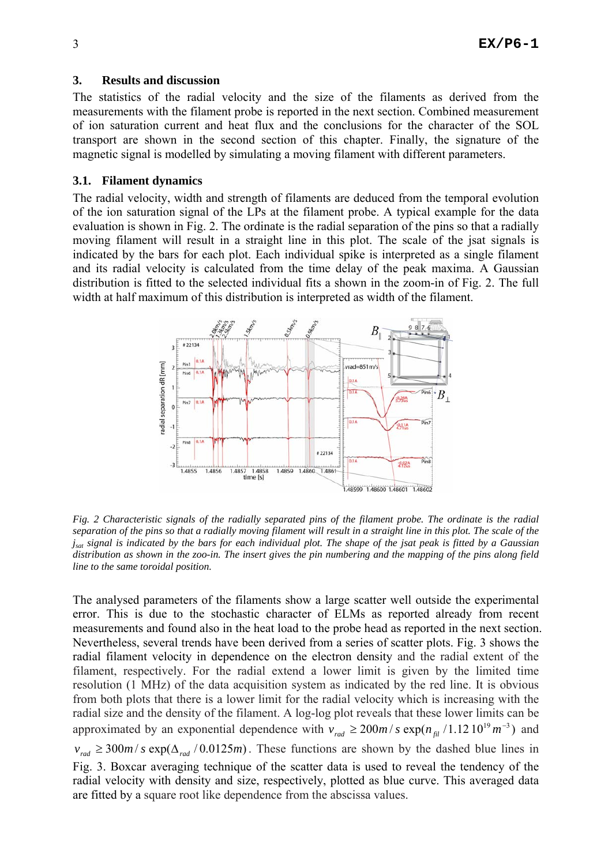### **3. Results and discussion**

The statistics of the radial velocity and the size of the filaments as derived from the measurements with the filament probe is reported in the next section. Combined measurement of ion saturation current and heat flux and the conclusions for the character of the SOL transport are shown in the second section of this chapter. Finally, the signature of the magnetic signal is modelled by simulating a moving filament with different parameters.

## **3.1. Filament dynamics**

The radial velocity, width and strength of filaments are deduced from the temporal evolution of the ion saturation signal of the LPs at the filament probe. A typical example for the data evaluation is shown in [Fig. 2.](#page-4-0) The ordinate is the radial separation of the pins so that a radially moving filament will result in a straight line in this plot. The scale of the jsat signals is indicated by the bars for each plot. Each individual spike is interpreted as a single filament and its radial velocity is calculated from the time delay of the peak maxima. A Gaussian distribution is fitted to the selected individual fits a shown in the zoom-in of [Fig. 2](#page-4-0). The full width at half maximum of this distribution is interpreted as width of the filament.



<span id="page-4-0"></span>*Fig. 2 Characteristic signals of the radially separated pins of the filament probe. The ordinate is the radial separation of the pins so that a radially moving filament will result in a straight line in this plot. The scale of the jsat signal is indicated by the bars for each individual plot. The shape of the jsat peak is fitted by a Gaussian distribution as shown in the zoo-in. The insert gives the pin numbering and the mapping of the pins along field line to the same toroidal position.* 

The analysed parameters of the filaments show a large scatter well outside the experimental error. This is due to the stochastic character of ELMs as reported already from recent measurements and found also in the heat load to the probe head as reported in the next section. Nevertheless, several trends have been derived from a series of scatter plots. [Fig. 3](#page-5-0) shows the radial filament velocity in dependence on the electron density and the radial extent of the filament, respectively. For the radial extend a lower limit is given by the limited time resolution (1 MHz) of the data acquisition system as indicated by the red line. It is obvious from both plots that there is a lower limit for the radial velocity which is increasing with the radial size and the density of the filament. A log-log plot reveals that these lower limits can be approximated by an exponential dependence with  $v_{rad} \ge 200m/s \exp(n_{\text{fil}}/1.1210^{19}m^{-3})$  and

 $v_{rad} \ge 300$  *m* / *s* exp( $\Delta_{rad}$  /0.0125*m*). These functions are shown by the dashed blue lines in [Fig. 3](#page-5-0). Boxcar averaging technique of the scatter data is used to reveal the tendency of the radial velocity with density and size, respectively, plotted as blue curve. This averaged data are fitted by a square root like dependence from the abscissa values.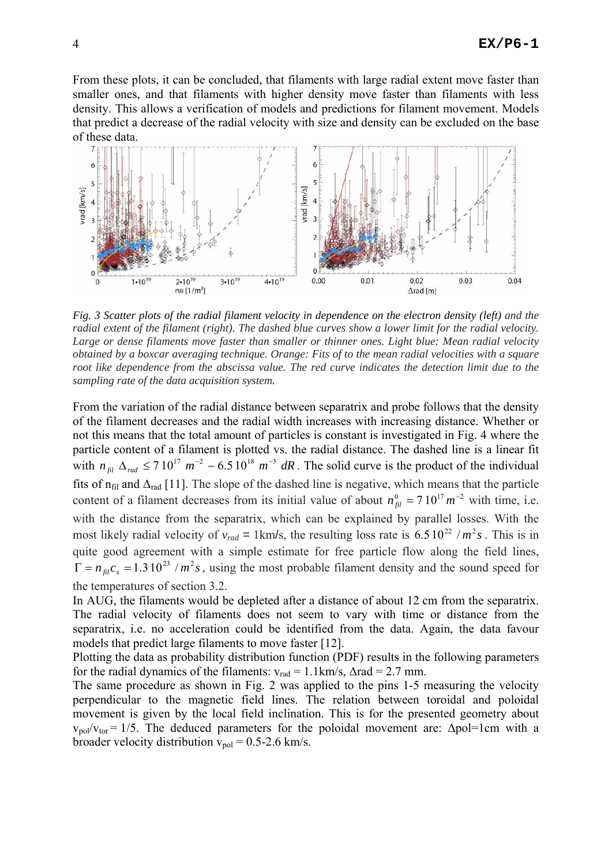From these plots, it can be concluded, that filaments with large radial extent move faster than smaller ones, and that filaments with higher density move faster than filaments with less density. This allows a verification of models and predictions for filament movement. Models that predict a decrease of the radial velocity with size and density can be excluded on the base of these data.



<span id="page-5-0"></span>*Fig. 3 Scatter plots of the radial filament velocity in dependence on the electron density (left) and the radial extent of the filament (right). The dashed blue curves show a lower limit for the radial velocity. Large or dense filaments move faster than smaller or thinner ones. Light blue: Mean radial velocity obtained by a boxcar averaging technique. Orange: Fits of to the mean radial velocities with a square root like dependence from the abscissa value. The red curve indicates the detection limit due to the sampling rate of the data acquisition system.* 

From the variation of the radial distance between separatrix and probe follows that the density of the filament decreases and the radial width increases with increasing distance. Whether or not this means that the total amount of particles is constant is investigated in [Fig. 4](#page-6-0) where the particle content of a filament is plotted vs. the radial distance. The dashed line is a linear fit with  $n_{\text{fil}} \Delta_{\text{rad}} \le 710^{17} \text{ m}^{-2} - 6.510^{18} \text{ m}^{-3} \text{ dR}$ . The solid curve is the product of the individual fits of  $n_{\text{fil}}$  and  $\Delta_{\text{rad}}$  [11]. The slope of the dashed line is negative, which means that the particle content of a filament decreases from its initial value of about  $n_{\tilde{p}l}^0 = 7 \cdot 10^{17} m^{-2}$  with time, i.e. with the distance from the separatrix, which can be explained by parallel losses. With the most likely radial velocity of  $v_{rad} = 1 \text{ km/s}$ , the resulting loss rate is 6.5  $10^{22} / m^2 s$ . This is in quite good agreement with a simple estimate for free particle flow along the field lines,  $\Gamma = n_{\text{fil}} c_s = 1.3 \, 10^{23} / m^2 s$ , using the most probable filament density and the sound speed for the temperatures of section [3.2](#page-6-1).

In AUG, the filaments would be depleted after a distance of about 12 cm from the separatrix. The radial velocity of filaments does not seem to vary with time or distance from the separatrix, i.e. no acceleration could be identified from the data. Again, the data favour models that predict large filaments to move faster [12].

Plotting the data as probability distribution function (PDF) results in the following parameters for the radial dynamics of the filaments:  $v_{rad} = 1.1 \text{ km/s}, \Delta \text{rad} = 2.7 \text{ mm}.$ 

The same procedure as shown in [Fig. 2](#page-4-0) was applied to the pins 1-5 measuring the velocity perpendicular to the magnetic field lines. The relation between toroidal and poloidal movement is given by the local field inclination. This is for the presented geometry about  $v_{\text{pol}}/v_{\text{tor}} = 1/5$ . The deduced parameters for the poloidal movement are:  $\Delta \text{pol} = 1 \text{cm}$  with a broader velocity distribution  $v_{pol} = 0.5$ -2.6 km/s.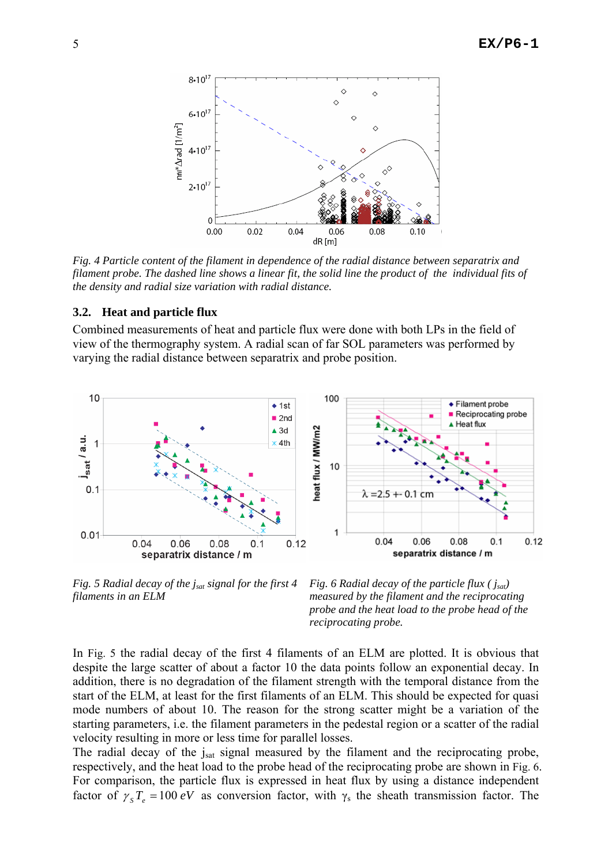

<span id="page-6-0"></span>*Fig. 4 Particle content of the filament in dependence of the radial distance between separatrix and filament probe. The dashed line shows a linear fit, the solid line the product of the individual fits of the density and radial size variation with radial distance.* 

#### <span id="page-6-1"></span>**3.2. Heat and particle flux**

Combined measurements of heat and particle flux were done with both LPs in the field of view of the thermography system. A radial scan of far SOL parameters was performed by varying the radial distance between separatrix and probe position.



<span id="page-6-2"></span>*Fig. 5 Radial decay of the jsat signal for the first 4 filaments in an ELM* 

*Fig. 6 Radial decay of the particle flux ( jsat) measured by the filament and the reciprocating probe and the heat load to the probe head of the reciprocating probe.* 

In [Fig. 5](#page-6-2) the radial decay of the first 4 filaments of an ELM are plotted. It is obvious that despite the large scatter of about a factor 10 the data points follow an exponential decay. In addition, there is no degradation of the filament strength with the temporal distance from the start of the ELM, at least for the first filaments of an ELM. This should be expected for quasi mode numbers of about 10. The reason for the strong scatter might be a variation of the starting parameters, i.e. the filament parameters in the pedestal region or a scatter of the radial velocity resulting in more or less time for parallel losses.

The radial decay of the jsat signal measured by the filament and the reciprocating probe, respectively, and the heat load to the probe head of the reciprocating probe are shown in [Fig. 6.](#page-6-2) For comparison, the particle flux is expressed in heat flux by using a distance independent factor of  $\gamma_s T_e = 100 eV$  as conversion factor, with  $\gamma_s$  the sheath transmission factor. The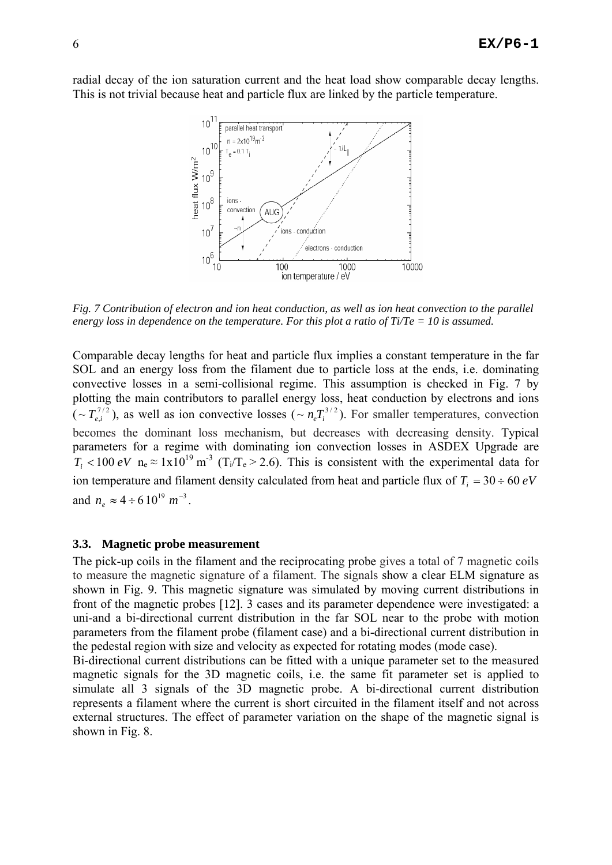radial decay of the ion saturation current and the heat load show comparable decay lengths. This is not trivial because heat and particle flux are linked by the particle temperature.



<span id="page-7-0"></span>*Fig. 7 Contribution of electron and ion heat conduction, as well as ion heat convection to the parallel energy loss in dependence on the temperature. For this plot a ratio of Ti/Te = 10 is assumed.* 

Comparable decay lengths for heat and particle flux implies a constant temperature in the far SOL and an energy loss from the filament due to particle loss at the ends, i.e. dominating convective losses in a semi-collisional regime. This assumption is checked in [Fig. 7](#page-7-0) by plotting the main contributors to parallel energy loss, heat conduction by electrons and ions  $(\sim T_{e,i}^{7/2})$ , as well as ion convective losses ( $\sim n_e T_i^{3/2}$ ). For smaller temperatures, convection becomes the dominant loss mechanism, but decreases with decreasing density. Typical parameters for a regime with dominating ion convection losses in ASDEX Upgrade are  $T_i < 100 \text{ eV}$  n<sub>e</sub>  $\approx 1 \times 10^{19} \text{ m}^3$  (T<sub>i</sub>/T<sub>e</sub> > 2.6). This is consistent with the experimental data for ion temperature and filament density calculated from heat and particle flux of  $T_i = 30 \div 60 \text{ eV}$ and  $n_e \approx 4 \div 6 \, 10^{19} \, m^{-3}$ .

### **3.3. Magnetic probe measurement**

The pick-up coils in the filament and the reciprocating probe gives a total of 7 magnetic coils to measure the magnetic signature of a filament. The signals show a clear ELM signature as shown in [Fig. 9](#page-8-0). This magnetic signature was simulated by moving current distributions in front of the magnetic probes [12]. 3 cases and its parameter dependence were investigated: a uni-and a bi-directional current distribution in the far SOL near to the probe with motion parameters from the filament probe (filament case) and a bi-directional current distribution in the pedestal region with size and velocity as expected for rotating modes (mode case).

Bi-directional current distributions can be fitted with a unique parameter set to the measured magnetic signals for the 3D magnetic coils, i.e. the same fit parameter set is applied to simulate all 3 signals of the 3D magnetic probe. A bi-directional current distribution represents a filament where the current is short circuited in the filament itself and not across external structures. The effect of parameter variation on the shape of the magnetic signal is shown in [Fig. 8.](#page-8-1)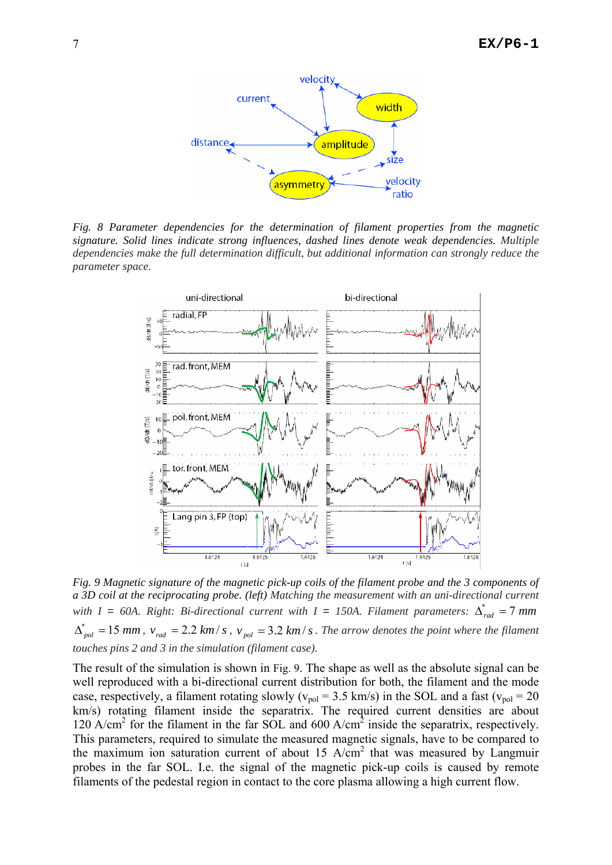

<span id="page-8-1"></span>*Fig. 8 Parameter dependencies for the determination of filament properties from the magnetic signature. Solid lines indicate strong influences, dashed lines denote weak dependencies. Multiple dependencies make the full determination difficult, but additional information can strongly reduce the parameter space.* 



<span id="page-8-0"></span>*Fig. 9 Magnetic signature of the magnetic pick-up coils of the filament probe and the 3 components of a 3D coil at the reciprocating probe. (left) Matching the measurement with an uni-directional current with*  $I = 60A$ . Right: Bi-directional current with  $I = 150A$ . Filament parameters:  $\Delta_{rad}^* = 7$  *mm*  $\Delta_{pol}^* = 15$  *mm*,  $v_{rad} = 2.2$  *km / s*,  $v_{pol} = 3.2$  *km / s*. The arrow denotes the point where the filament *touches pins 2 and 3 in the simulation (filament case).* 

The result of the simulation is shown in [Fig. 9.](#page-8-0) The shape as well as the absolute signal can be well reproduced with a bi-directional current distribution for both, the filament and the mode case, respectively, a filament rotating slowly ( $v_{pol} = 3.5$  km/s) in the SOL and a fast ( $v_{pol} = 20$ km/s) rotating filament inside the separatrix. The required current densities are about 120 A/cm<sup>2</sup> for the filament in the far SOL and 600 A/cm<sup>2</sup> inside the separatrix, respectively. This parameters, required to simulate the measured magnetic signals, have to be compared to the maximum ion saturation current of about 15 A/cm<sup>2</sup> that was measured by Langmuir probes in the far SOL. I.e. the signal of the magnetic pick-up coils is caused by remote filaments of the pedestal region in contact to the core plasma allowing a high current flow.